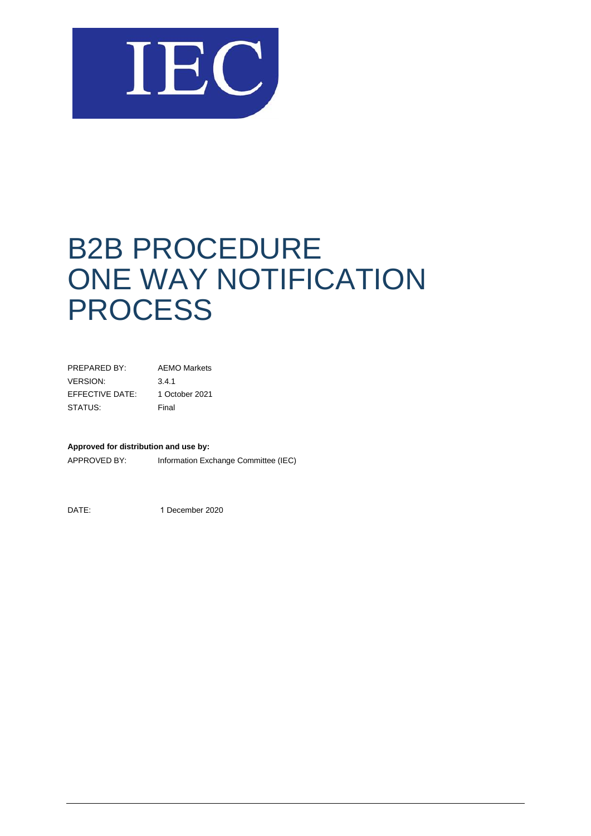

# B2B PROCEDURE ONE WAY NOTIFICATION **PROCESS**

| <b>AEMO Markets</b> |
|---------------------|
| 3.4.1               |
| 1 October 2021      |
| Final               |
|                     |

#### **Approved for distribution and use by:**

APPROVED BY: Information Exchange Committee (IEC)

DATE: 1 December 2020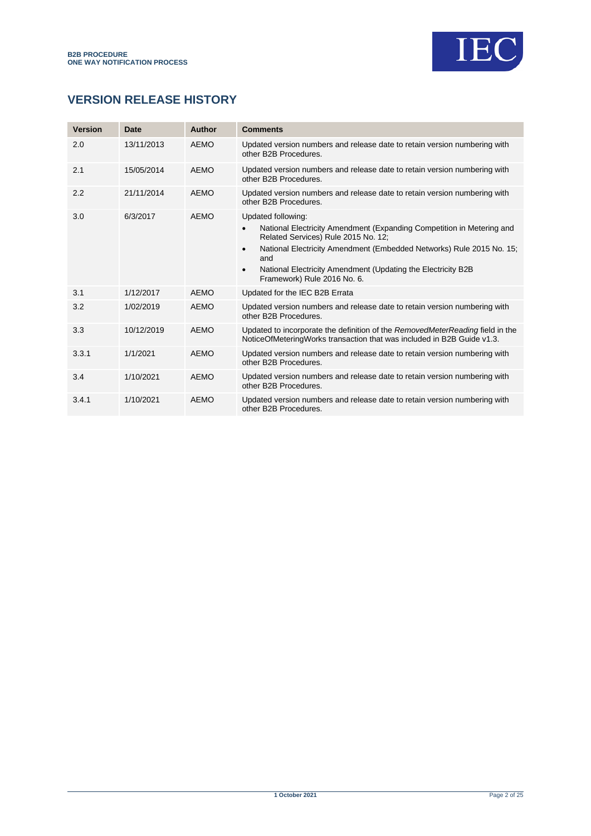

# **VERSION RELEASE HISTORY**

| <b>Version</b> | Date       | <b>Author</b> | <b>Comments</b>                                                                                                                                                                                                                                                                                                                             |
|----------------|------------|---------------|---------------------------------------------------------------------------------------------------------------------------------------------------------------------------------------------------------------------------------------------------------------------------------------------------------------------------------------------|
| 2.0            | 13/11/2013 | AEMO          | Updated version numbers and release date to retain version numbering with<br>other B2B Procedures.                                                                                                                                                                                                                                          |
| 2.1            | 15/05/2014 | <b>AEMO</b>   | Updated version numbers and release date to retain version numbering with<br>other B2B Procedures.                                                                                                                                                                                                                                          |
| 2.2            | 21/11/2014 | <b>AEMO</b>   | Updated version numbers and release date to retain version numbering with<br>other B2B Procedures.                                                                                                                                                                                                                                          |
| 3.0            | 6/3/2017   | AEMO          | Updated following:<br>National Electricity Amendment (Expanding Competition in Metering and<br>Related Services) Rule 2015 No. 12;<br>National Electricity Amendment (Embedded Networks) Rule 2015 No. 15;<br>$\bullet$<br>and<br>National Electricity Amendment (Updating the Electricity B2B)<br>$\bullet$<br>Framework) Rule 2016 No. 6. |
| 3.1            | 1/12/2017  | AEMO          | Updated for the IEC B2B Errata                                                                                                                                                                                                                                                                                                              |
| 3.2            | 1/02/2019  | <b>AEMO</b>   | Updated version numbers and release date to retain version numbering with<br>other B2B Procedures.                                                                                                                                                                                                                                          |
| 3.3            | 10/12/2019 | <b>AEMO</b>   | Updated to incorporate the definition of the RemovedMeterReading field in the<br>NoticeOfMeteringWorks transaction that was included in B2B Guide v1.3.                                                                                                                                                                                     |
| 3.3.1          | 1/1/2021   | <b>AEMO</b>   | Updated version numbers and release date to retain version numbering with<br>other B2B Procedures.                                                                                                                                                                                                                                          |
| 3.4            | 1/10/2021  | AFMO          | Updated version numbers and release date to retain version numbering with<br>other B2B Procedures.                                                                                                                                                                                                                                          |
| 3.4.1          | 1/10/2021  | <b>AEMO</b>   | Updated version numbers and release date to retain version numbering with<br>other B2B Procedures.                                                                                                                                                                                                                                          |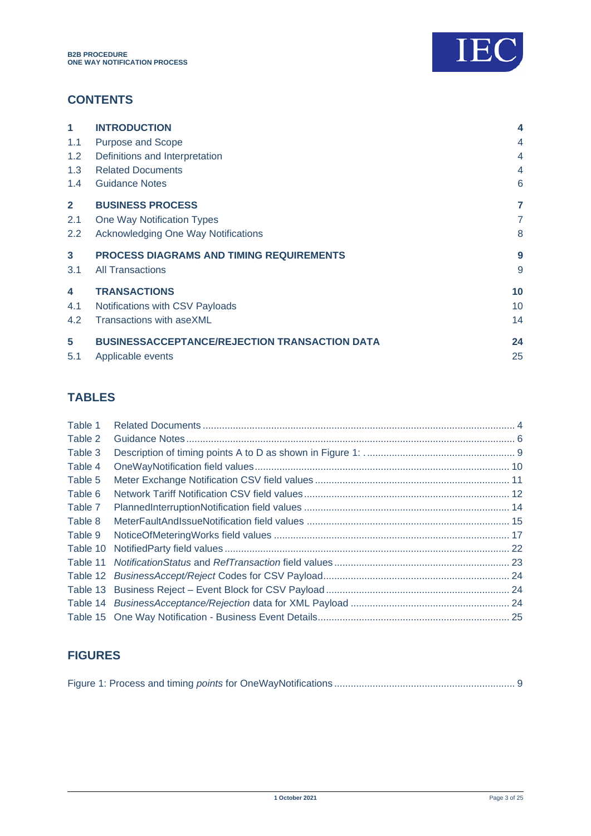

# **CONTENTS**

| 1             | <b>INTRODUCTION</b>                                  | 4              |
|---------------|------------------------------------------------------|----------------|
| 1.1           | <b>Purpose and Scope</b>                             | 4              |
| 1.2           | Definitions and Interpretation                       | 4              |
| 1.3           | <b>Related Documents</b>                             | 4              |
| $1.4^{\circ}$ | <b>Guidance Notes</b>                                | 6              |
| $\mathbf{2}$  | <b>BUSINESS PROCESS</b>                              | 7              |
| 2.1           | One Way Notification Types                           | $\overline{7}$ |
| $2.2^{\circ}$ | Acknowledging One Way Notifications                  | 8              |
| 3             | <b>PROCESS DIAGRAMS AND TIMING REQUIREMENTS</b>      | 9              |
| 3.1           | <b>All Transactions</b>                              | 9              |
| 4             | <b>TRANSACTIONS</b>                                  | 10             |
| 4.1           | Notifications with CSV Payloads                      | 10             |
| 4.2           | Transactions with aseXML                             | 14             |
| 5             | <b>BUSINESSACCEPTANCE/REJECTION TRANSACTION DATA</b> | 24             |
| 5.1           | Applicable events                                    | 25             |

# **TABLES**

| Table 1  |  |
|----------|--|
| Table 2  |  |
| Table 3  |  |
| Table 4  |  |
| Table 5  |  |
| Table 6  |  |
| Table 7  |  |
| Table 8  |  |
| Table 9  |  |
| Table 10 |  |
|          |  |
| Table 12 |  |
| Table 13 |  |
|          |  |
|          |  |

# **FIGURES**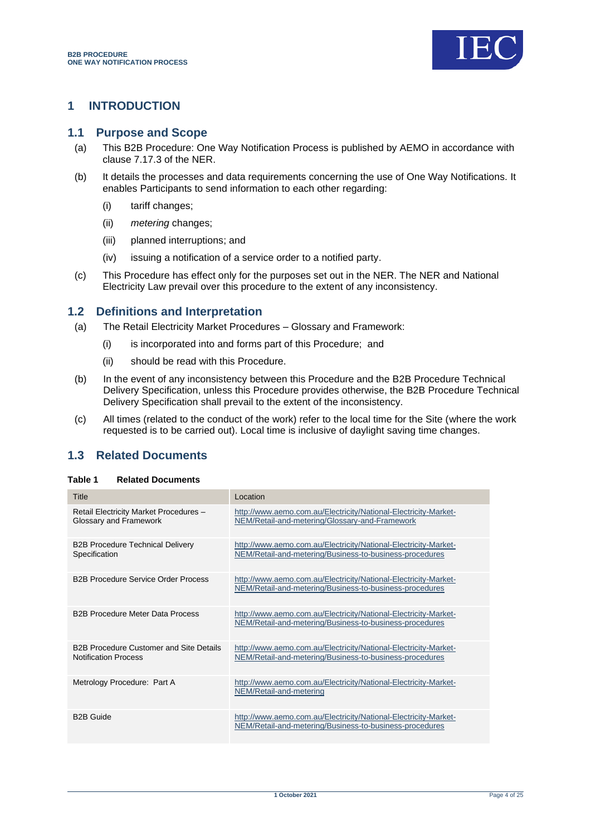

## <span id="page-3-0"></span>**1 INTRODUCTION**

#### <span id="page-3-1"></span>**1.1 Purpose and Scope**

- (a) This B2B Procedure: One Way Notification Process is published by AEMO in accordance with clause 7.17.3 of the NER.
- (b) It details the processes and data requirements concerning the use of One Way Notifications. It enables Participants to send information to each other regarding:
	- (i) tariff changes;
	- (ii) *metering* changes;
	- (iii) planned interruptions; and
	- (iv) issuing a notification of a service order to a notified party.
- (c) This Procedure has effect only for the purposes set out in the NER. The NER and National Electricity Law prevail over this procedure to the extent of any inconsistency.

## <span id="page-3-2"></span>**1.2 Definitions and Interpretation**

- (a) The Retail Electricity Market Procedures Glossary and Framework:
	- (i) is incorporated into and forms part of this Procedure; and
	- (ii) should be read with this Procedure.
- (b) In the event of any inconsistency between this Procedure and the B2B Procedure Technical Delivery Specification, unless this Procedure provides otherwise, the B2B Procedure Technical Delivery Specification shall prevail to the extent of the inconsistency.
- (c) All times (related to the conduct of the work) refer to the local time for the Site (where the work requested is to be carried out). Local time is inclusive of daylight saving time changes.

## <span id="page-3-3"></span>**1.3 Related Documents**

#### <span id="page-3-4"></span>**Table 1 Related Documents**

| Title                                                                         | Location                                                                                                                   |
|-------------------------------------------------------------------------------|----------------------------------------------------------------------------------------------------------------------------|
| Retail Electricity Market Procedures -<br>Glossary and Framework              | http://www.aemo.com.au/Electricity/National-Electricity-Market-<br>NEM/Retail-and-metering/Glossary-and-Framework          |
| <b>B2B Procedure Technical Delivery</b><br>Specification                      | http://www.aemo.com.au/Electricity/National-Electricity-Market-<br>NEM/Retail-and-metering/Business-to-business-procedures |
| <b>B2B Procedure Service Order Process</b>                                    | http://www.aemo.com.au/Electricity/National-Electricity-Market-<br>NEM/Retail-and-metering/Business-to-business-procedures |
| <b>B2B Procedure Meter Data Process</b>                                       | http://www.aemo.com.au/Electricity/National-Electricity-Market-<br>NEM/Retail-and-metering/Business-to-business-procedures |
| <b>B2B Procedure Customer and Site Details</b><br><b>Notification Process</b> | http://www.aemo.com.au/Electricity/National-Electricity-Market-<br>NEM/Retail-and-metering/Business-to-business-procedures |
| Metrology Procedure: Part A                                                   | http://www.aemo.com.au/Electricity/National-Electricity-Market-<br>NEM/Retail-and-metering                                 |
| <b>B2B Guide</b>                                                              | http://www.aemo.com.au/Electricity/National-Electricity-Market-<br>NEM/Retail-and-metering/Business-to-business-procedures |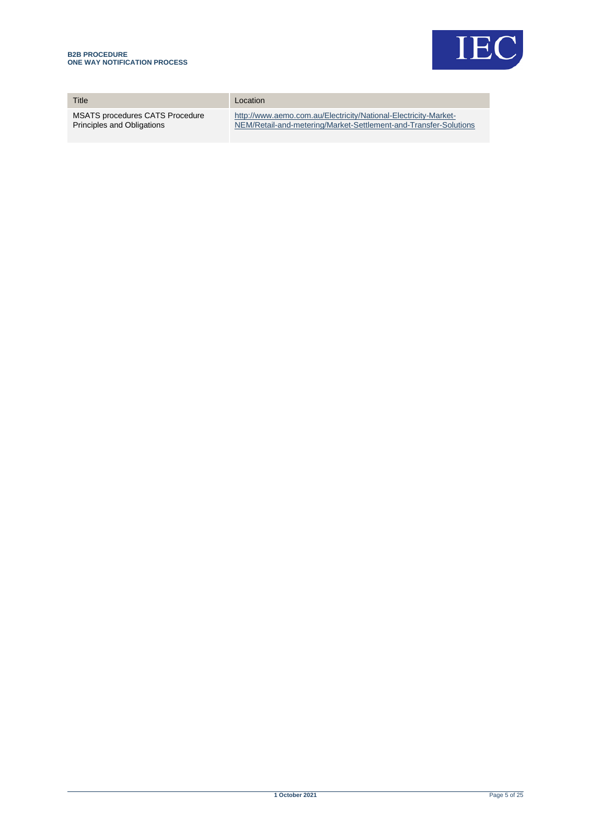

| Title                                  | Location                                                         |
|----------------------------------------|------------------------------------------------------------------|
| <b>MSATS procedures CATS Procedure</b> | http://www.aemo.com.au/Electricity/National-Electricity-Market-  |
| Principles and Obligations             | NEM/Retail-and-metering/Market-Settlement-and-Transfer-Solutions |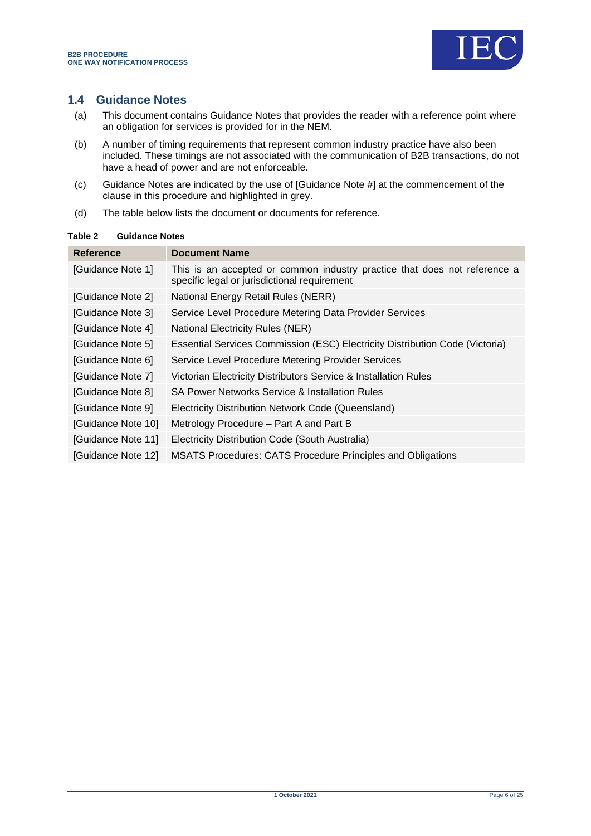

## <span id="page-5-0"></span>**1.4 Guidance Notes**

- (a) This document contains Guidance Notes that provides the reader with a reference point where an obligation for services is provided for in the NEM.
- (b) A number of timing requirements that represent common industry practice have also been included. These timings are not associated with the communication of B2B transactions, do not have a head of power and are not enforceable.
- (c) Guidance Notes are indicated by the use of [Guidance Note #] at the commencement of the clause in this procedure and highlighted in grey.
- (d) The table below lists the document or documents for reference.

#### <span id="page-5-1"></span>**Table 2 Guidance Notes**

| Reference          | <b>Document Name</b>                                                                                                      |
|--------------------|---------------------------------------------------------------------------------------------------------------------------|
| [Guidance Note 1]  | This is an accepted or common industry practice that does not reference a<br>specific legal or jurisdictional requirement |
| [Guidance Note 2]  | National Energy Retail Rules (NERR)                                                                                       |
| [Guidance Note 3]  | Service Level Procedure Metering Data Provider Services                                                                   |
| [Guidance Note 4]  | <b>National Electricity Rules (NER)</b>                                                                                   |
| [Guidance Note 5]  | Essential Services Commission (ESC) Electricity Distribution Code (Victoria)                                              |
| [Guidance Note 6]  | Service Level Procedure Metering Provider Services                                                                        |
| [Guidance Note 7]  | Victorian Electricity Distributors Service & Installation Rules                                                           |
| [Guidance Note 8]  | SA Power Networks Service & Installation Rules                                                                            |
| [Guidance Note 9]  | Electricity Distribution Network Code (Queensland)                                                                        |
| [Guidance Note 10] | Metrology Procedure – Part A and Part B                                                                                   |
| [Guidance Note 11] | Electricity Distribution Code (South Australia)                                                                           |
| [Guidance Note 12] | <b>MSATS Procedures: CATS Procedure Principles and Obligations</b>                                                        |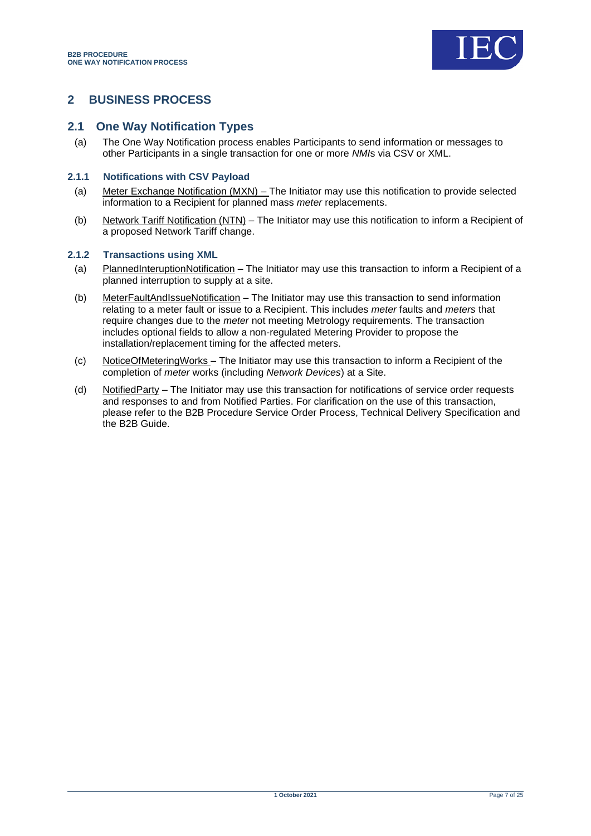![](_page_6_Picture_1.jpeg)

## <span id="page-6-0"></span>**2 BUSINESS PROCESS**

#### <span id="page-6-1"></span>**2.1 One Way Notification Types**

(a) The One Way Notification process enables Participants to send information or messages to other Participants in a single transaction for one or more *NMI*s via CSV or XML.

#### **2.1.1 Notifications with CSV Payload**

- (a) Meter Exchange Notification (MXN) The Initiator may use this notification to provide selected information to a Recipient for planned mass *meter* replacements.
- (b) Network Tariff Notification (NTN) The Initiator may use this notification to inform a Recipient of a proposed Network Tariff change.

#### **2.1.2 Transactions using XML**

- (a) PlannedInteruptionNotification The Initiator may use this transaction to inform a Recipient of a planned interruption to supply at a site.
- (b) MeterFaultAndIssueNotification The Initiator may use this transaction to send information relating to a meter fault or issue to a Recipient. This includes *meter* faults and *meters* that require changes due to the *meter* not meeting Metrology requirements. The transaction includes optional fields to allow a non-regulated Metering Provider to propose the installation/replacement timing for the affected meters.
- (c) NoticeOfMeteringWorks The Initiator may use this transaction to inform a Recipient of the completion of *meter* works (including *Network Devices*) at a Site.
- (d) NotifiedParty The Initiator may use this transaction for notifications of service order requests and responses to and from Notified Parties. For clarification on the use of this transaction, please refer to the B2B Procedure Service Order Process, Technical Delivery Specification and the B2B Guide.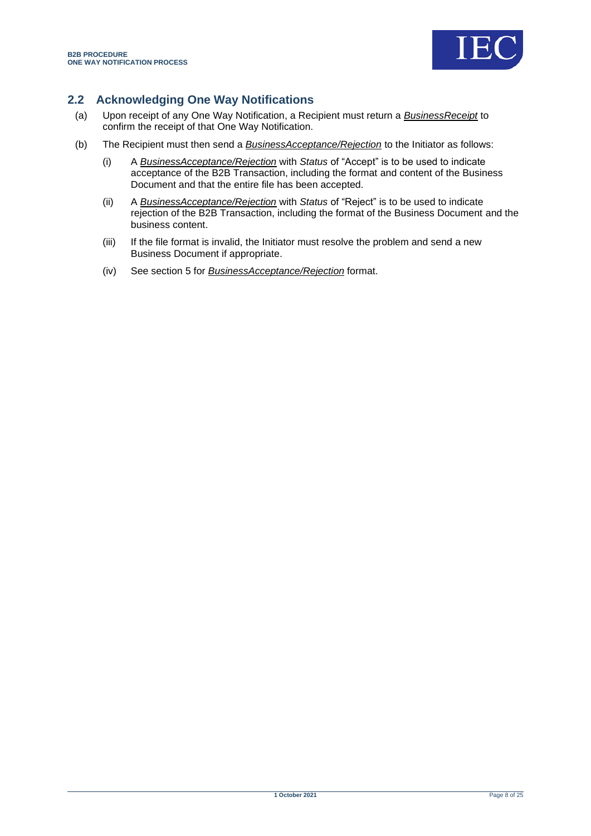![](_page_7_Picture_1.jpeg)

## <span id="page-7-0"></span>**2.2 Acknowledging One Way Notifications**

- (a) Upon receipt of any One Way Notification, a Recipient must return a *BusinessReceipt* to confirm the receipt of that One Way Notification.
- (b) The Recipient must then send a *BusinessAcceptance/Rejection* to the Initiator as follows:
	- (i) A *BusinessAcceptance/Rejection* with *Status* of "Accept" is to be used to indicate acceptance of the B2B Transaction, including the format and content of the Business Document and that the entire file has been accepted.
	- (ii) A *BusinessAcceptance/Rejection* with *Status* of "Reject" is to be used to indicate rejection of the B2B Transaction, including the format of the Business Document and the business content.
	- (iii) If the file format is invalid, the Initiator must resolve the problem and send a new Business Document if appropriate.
	- (iv) See section [5](#page-23-0) for *BusinessAcceptance/Rejection* format.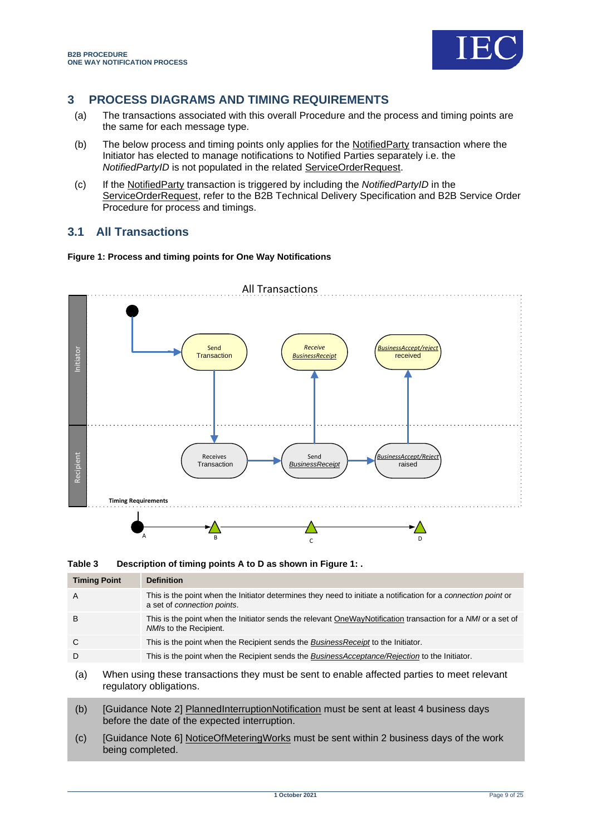![](_page_8_Picture_1.jpeg)

# <span id="page-8-0"></span>**3 PROCESS DIAGRAMS AND TIMING REQUIREMENTS**

- (a) The transactions associated with this overall Procedure and the process and timing points are the same for each message type.
- (b) The below process and timing points only applies for the NotifiedParty transaction where the Initiator has elected to manage notifications to Notified Parties separately i.e. the *NotifiedPartyID* is not populated in the related ServiceOrderRequest.
- (c) If the NotifiedParty transaction is triggered by including the *NotifiedPartyID* in the ServiceOrderRequest, refer to the B2B Technical Delivery Specification and B2B Service Order Procedure for process and timings.

## <span id="page-8-1"></span>**3.1 All Transactions**

#### <span id="page-8-3"></span>**Figure 1: Process and timing points for One Way Notifications**

![](_page_8_Figure_8.jpeg)

<span id="page-8-2"></span>**Table 3 Description of timing points A to D as shown i[n Figure 1: .](#page-8-3)**

| <b>Timing Point</b> | <b>Definition</b>                                                                                                                                    |
|---------------------|------------------------------------------------------------------------------------------------------------------------------------------------------|
| A                   | This is the point when the Initiator determines they need to initiate a notification for a <i>connection point</i> or<br>a set of connection points. |
| B                   | This is the point when the Initiator sends the relevant OneWayNotification transaction for a NMI or a set of<br>NMIs to the Recipient.               |
| C                   | This is the point when the Recipient sends the <i>BusinessReceipt</i> to the Initiator.                                                              |
| D                   | This is the point when the Recipient sends the BusinessAcceptance/Rejection to the Initiator.                                                        |
| (a)                 | When using these transactions they must be sent to enable affected parties to meet relevant<br>regulatory obligations.                               |
| (b)                 | [Guidance Note 2] PlannedInterruptionNotification must be sent at least 4 business days                                                              |

- before the date of the expected interruption. (c) [Guidance Note 6] NoticeOfMeteringWorks must be sent within 2 business days of the work
- being completed.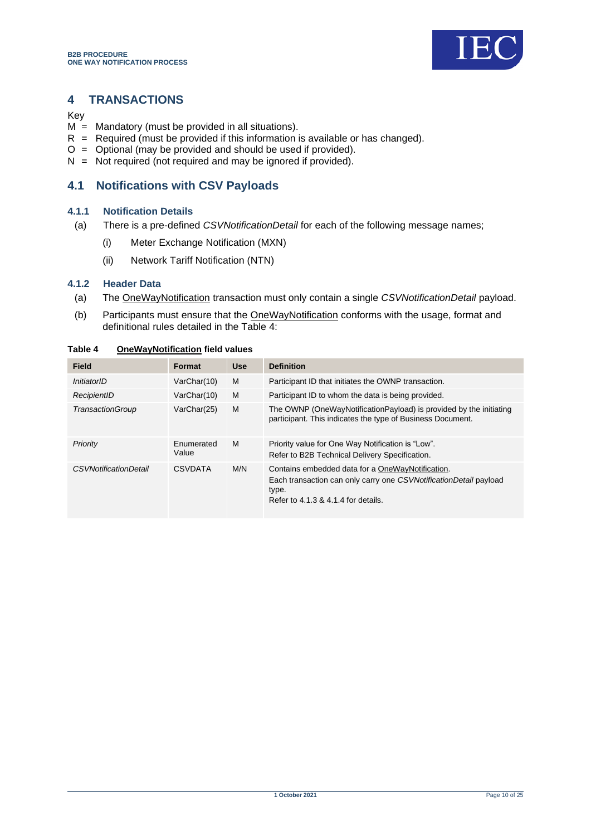![](_page_9_Picture_1.jpeg)

## <span id="page-9-0"></span>**4 TRANSACTIONS**

Key

- $M =$  Mandatory (must be provided in all situations).
- $R$  = Required (must be provided if this information is available or has changed).
- $O =$  Optional (may be provided and should be used if provided).
- $N =$  Not required (not required and may be ignored if provided).

## <span id="page-9-1"></span>**4.1 Notifications with CSV Payloads**

#### **4.1.1 Notification Details**

- (a) There is a pre-defined *CSVNotificationDetail* for each of the following message names;
	- (i) Meter Exchange Notification (MXN)
	- (ii) Network Tariff Notification (NTN)

#### **4.1.2 Header Data**

- (a) The OneWayNotification transaction must only contain a single *CSVNotificationDetail* payload.
- (b) Participants must ensure that the OneWayNotification conforms with the usage, format and definitional rules detailed in the Table 4:

| <b>Field</b>          | Format              | <b>Use</b> | <b>Definition</b>                                                                                                                                                     |
|-----------------------|---------------------|------------|-----------------------------------------------------------------------------------------------------------------------------------------------------------------------|
| InitiatorID           | VarChar(10)         | M          | Participant ID that initiates the OWNP transaction.                                                                                                                   |
| RecipientID           | VarChar(10)         | M          | Participant ID to whom the data is being provided.                                                                                                                    |
| TransactionGroup      | VarChar(25)         | M          | The OWNP (OneWayNotificationPayload) is provided by the initiating<br>participant. This indicates the type of Business Document.                                      |
| Priority              | Enumerated<br>Value | M          | Priority value for One Way Notification is "Low".<br>Refer to B2B Technical Delivery Specification.                                                                   |
| CSVNotificationDetail | <b>CSVDATA</b>      | M/N        | Contains embedded data for a OneWayNotification.<br>Each transaction can only carry one CSVNotificationDetail payload<br>type.<br>Refer to 4.1.3 & 4.1.4 for details. |

#### <span id="page-9-2"></span>**Table 4 OneWayNotification field values**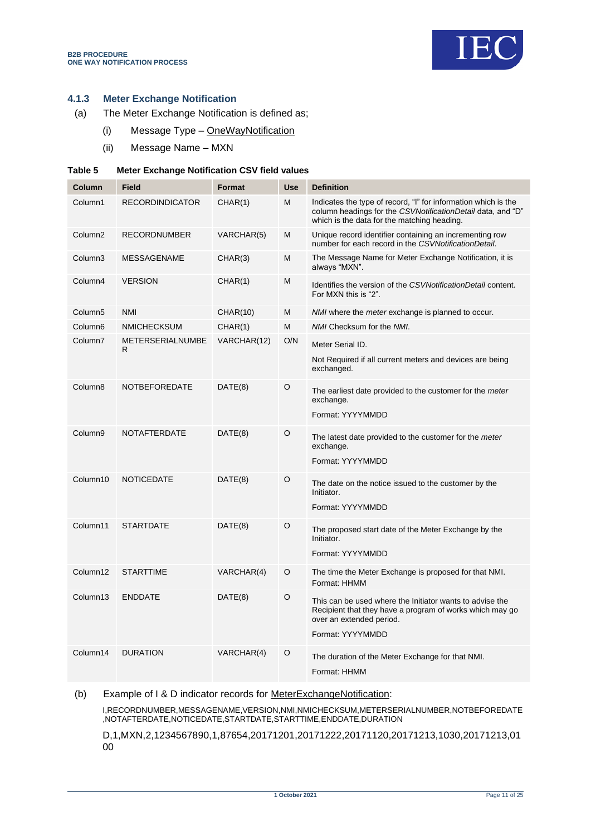![](_page_10_Picture_1.jpeg)

#### **4.1.3 Meter Exchange Notification**

- (a) The Meter Exchange Notification is defined as;
	- (i) Message Type OneWayNotification
	- (ii) Message Name MXN

#### <span id="page-10-0"></span>**Table 5 Meter Exchange Notification CSV field values**

| Column              | <b>Field</b>                  | Format          | <b>Use</b> | <b>Definition</b>                                                                                                                                                            |
|---------------------|-------------------------------|-----------------|------------|------------------------------------------------------------------------------------------------------------------------------------------------------------------------------|
| Column1             | <b>RECORDINDICATOR</b>        | CHAR(1)         | M          | Indicates the type of record, "I" for information which is the<br>column headings for the CSVNotificationDetail data, and "D"<br>which is the data for the matching heading. |
| Column <sub>2</sub> | <b>RECORDNUMBER</b>           | VARCHAR(5)      | M          | Unique record identifier containing an incrementing row<br>number for each record in the CSVNotificationDetail.                                                              |
| Column3             | <b>MESSAGENAME</b>            | CHAR(3)         | M          | The Message Name for Meter Exchange Notification, it is<br>always "MXN".                                                                                                     |
| Column4             | <b>VERSION</b>                | CHAR(1)         | М          | Identifies the version of the CSVNotificationDetail content.<br>For MXN this is "2".                                                                                         |
| Column <sub>5</sub> | <b>NMI</b>                    | <b>CHAR(10)</b> | M          | NMI where the <i>meter</i> exchange is planned to occur.                                                                                                                     |
| Column <sub>6</sub> | <b>NMICHECKSUM</b>            | CHAR(1)         | M          | NMI Checksum for the NMI.                                                                                                                                                    |
| Column7             | <b>METERSERIALNUMBE</b><br>R. | VARCHAR(12)     | O/N        | Meter Serial ID.                                                                                                                                                             |
|                     |                               |                 |            | Not Required if all current meters and devices are being<br>exchanged.                                                                                                       |
| Column <sub>8</sub> | <b>NOTBEFOREDATE</b>          | DATE(8)         | O          | The earliest date provided to the customer for the meter<br>exchange.                                                                                                        |
|                     |                               |                 |            | Format: YYYYMMDD                                                                                                                                                             |
| Column9             | <b>NOTAFTERDATE</b>           | DATE(8)         | O          | The latest date provided to the customer for the meter<br>exchange.                                                                                                          |
|                     |                               |                 |            | Format: YYYYMMDD                                                                                                                                                             |
| Column10            | NOTICEDATE                    | DATE(8)         | O          | The date on the notice issued to the customer by the<br>Initiator.                                                                                                           |
|                     |                               |                 |            | Format: YYYYMMDD                                                                                                                                                             |
| Column11            | <b>STARTDATE</b>              | DATE(8)         | $\Omega$   | The proposed start date of the Meter Exchange by the<br>Initiator.                                                                                                           |
|                     |                               |                 |            | Format: YYYYMMDD                                                                                                                                                             |
| Column12            | <b>STARTTIME</b>              | VARCHAR(4)      | O          | The time the Meter Exchange is proposed for that NMI.<br>Format: HHMM                                                                                                        |
| Column13            | <b>ENDDATE</b>                | DATE(8)         | $\circ$    | This can be used where the Initiator wants to advise the<br>Recipient that they have a program of works which may go<br>over an extended period.<br>Format: YYYYMMDD         |
| Column14            | <b>DURATION</b>               | VARCHAR(4)      | O          | The duration of the Meter Exchange for that NMI.                                                                                                                             |
|                     |                               |                 |            | Format: HHMM                                                                                                                                                                 |

#### (b) Example of I & D indicator records for MeterExchangeNotification:

I,RECORDNUMBER,MESSAGENAME,VERSION,NMI,NMICHECKSUM,METERSERIALNUMBER,NOTBEFOREDATE ,NOTAFTERDATE,NOTICEDATE,STARTDATE,STARTTIME,ENDDATE,DURATION

D,1,MXN,2,1234567890,1,87654,20171201,20171222,20171120,20171213,1030,20171213,01 00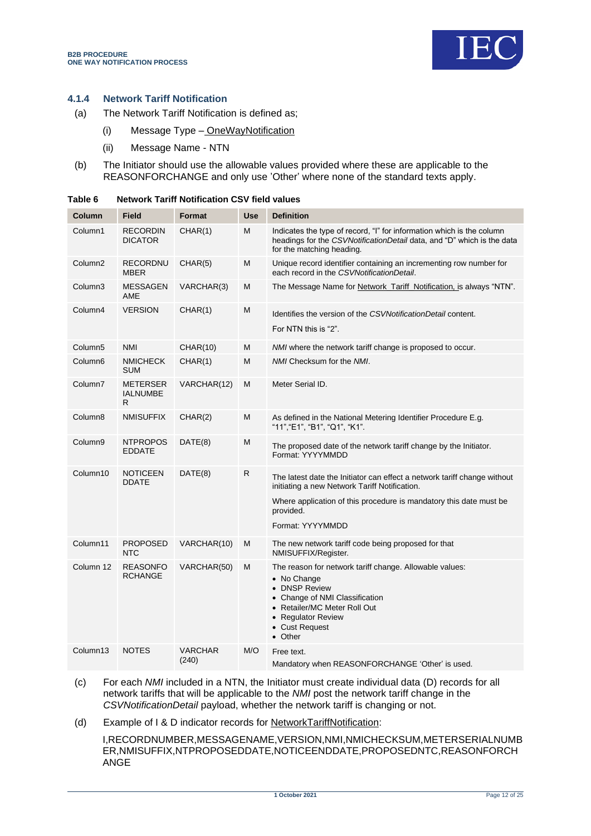![](_page_11_Picture_1.jpeg)

#### **4.1.4 Network Tariff Notification**

- (a) The Network Tariff Notification is defined as;
	- (i) Message Type OneWayNotification
	- (ii) Message Name NTN
- (b) The Initiator should use the allowable values provided where these are applicable to the REASONFORCHANGE and only use 'Other' where none of the standard texts apply.

| Column              | <b>Field</b>                            | <b>Format</b>           | <b>Use</b> | <b>Definition</b>                                                                                                                                                                                                                |
|---------------------|-----------------------------------------|-------------------------|------------|----------------------------------------------------------------------------------------------------------------------------------------------------------------------------------------------------------------------------------|
| Column1             | <b>RECORDIN</b><br><b>DICATOR</b>       | CHAR(1)                 | M          | Indicates the type of record, "I" for information which is the column<br>headings for the CSVNotificationDetail data, and "D" which is the data<br>for the matching heading.                                                     |
| Column <sub>2</sub> | RECORDNU<br><b>MBER</b>                 | CHAR(5)                 | M          | Unique record identifier containing an incrementing row number for<br>each record in the CSVNotificationDetail.                                                                                                                  |
| Column3             | <b>MESSAGEN</b><br>AME                  | VARCHAR(3)              | M          | The Message Name for Network_Tariff_Notification, is always "NTN".                                                                                                                                                               |
| Column4             | <b>VERSION</b>                          | CHAR(1)                 | M          | Identifies the version of the CSVNotificationDetail content.<br>For NTN this is "2".                                                                                                                                             |
| Column <sub>5</sub> | <b>NMI</b>                              | <b>CHAR(10)</b>         | M          | <i>NMI</i> where the network tariff change is proposed to occur.                                                                                                                                                                 |
| Column6             | <b>NMICHECK</b><br><b>SUM</b>           | CHAR(1)                 | M          | NMI Checksum for the NMI.                                                                                                                                                                                                        |
| Column7             | <b>METERSER</b><br><b>IALNUMBE</b><br>R | VARCHAR(12)             | M          | Meter Serial ID.                                                                                                                                                                                                                 |
| Column8             | <b>NMISUFFIX</b>                        | CHAR(2)                 | M          | As defined in the National Metering Identifier Procedure E.g.<br>"11", "E1", "B1", "Q1", "K1".                                                                                                                                   |
| Column9             | <b>NTPROPOS</b><br><b>EDDATE</b>        | DATE(8)                 | M          | The proposed date of the network tariff change by the Initiator.<br>Format: YYYYMMDD                                                                                                                                             |
| Column10            | <b>NOTICEEN</b><br><b>DDATE</b>         | DATE(8)                 | ${\sf R}$  | The latest date the Initiator can effect a network tariff change without<br>initiating a new Network Tariff Notification.<br>Where application of this procedure is mandatory this date must be<br>provided.<br>Format: YYYYMMDD |
| Column11            | <b>PROPOSED</b><br><b>NTC</b>           | VARCHAR(10)             | M          | The new network tariff code being proposed for that<br>NMISUFFIX/Register.                                                                                                                                                       |
| Column 12           | <b>REASONFO</b><br><b>RCHANGE</b>       | VARCHAR(50)             | M          | The reason for network tariff change. Allowable values:<br>• No Change<br>• DNSP Review<br>• Change of NMI Classification<br>• Retailer/MC Meter Roll Out<br>• Regulator Review<br>• Cust Request<br>• Other                     |
| Column13            | <b>NOTES</b>                            | <b>VARCHAR</b><br>(240) | M/O        | Free text.<br>Mandatory when REASONFORCHANGE 'Other' is used.                                                                                                                                                                    |

<span id="page-11-0"></span>

| Table 6 | <b>Network Tariff Notification CSV field values</b> |  |  |
|---------|-----------------------------------------------------|--|--|
|         |                                                     |  |  |

(c) For each *NMI* included in a NTN, the Initiator must create individual data (D) records for all network tariffs that will be applicable to the *NMI* post the network tariff change in the *CSVNotificationDetail* payload, whether the network tariff is changing or not.

(d) Example of I & D indicator records for NetworkTariffNotification:

I,RECORDNUMBER,MESSAGENAME,VERSION,NMI,NMICHECKSUM,METERSERIALNUMB ER,NMISUFFIX,NTPROPOSEDDATE,NOTICEENDDATE,PROPOSEDNTC,REASONFORCH ANGE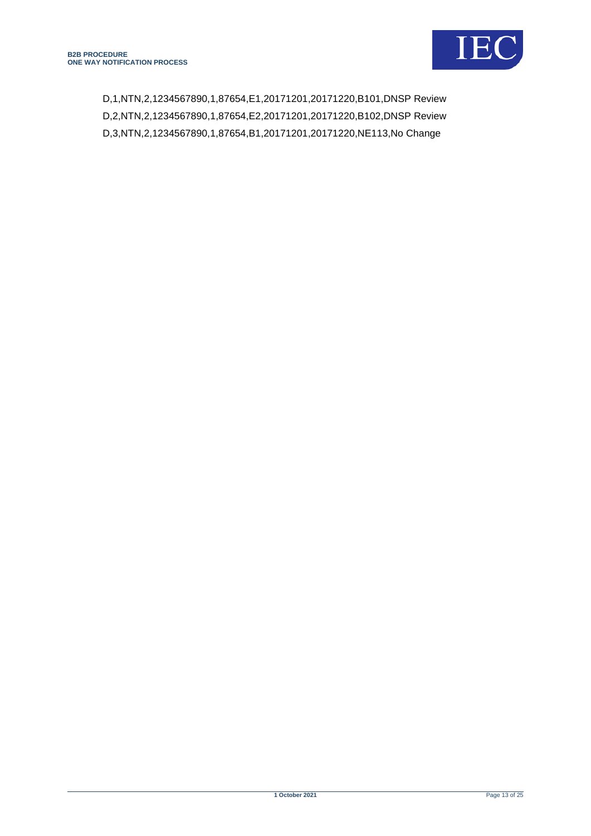![](_page_12_Picture_1.jpeg)

D,1,NTN,2,1234567890,1,87654,E1,20171201,20171220,B101,DNSP Review D,2,NTN,2,1234567890,1,87654,E2,20171201,20171220,B102,DNSP Review D,3,NTN,2,1234567890,1,87654,B1,20171201,20171220,NE113,No Change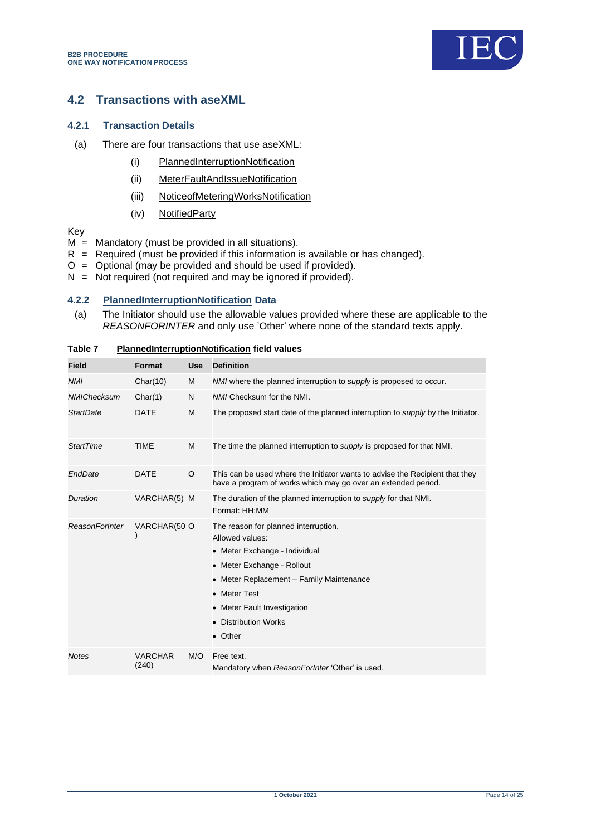![](_page_13_Picture_1.jpeg)

## <span id="page-13-0"></span>**4.2 Transactions with aseXML**

#### **4.2.1 Transaction Details**

- (a) There are four transactions that use aseXML:
	- (i) PlannedInterruptionNotification
	- (ii) MeterFaultAndIssueNotification
	- (iii) NoticeofMeteringWorksNotification
	- (iv) NotifiedParty

Key

- $M =$  Mandatory (must be provided in all situations).
- $R$  = Required (must be provided if this information is available or has changed).
- O = Optional (may be provided and should be used if provided).
- $N =$  Not required (not required and may be ignored if provided).

## **4.2.2 PlannedInterruptionNotification Data**

(a) The Initiator should use the allowable values provided where these are applicable to the *REASONFORINTER* and only use 'Other' where none of the standard texts apply.

| <b>Field</b>          | Format                  | <b>Use</b> | <b>Definition</b>                                                                                                                                                                                                                                                    |
|-----------------------|-------------------------|------------|----------------------------------------------------------------------------------------------------------------------------------------------------------------------------------------------------------------------------------------------------------------------|
| <b>NMI</b>            | Char(10)                | M          | NMI where the planned interruption to <i>supply</i> is proposed to occur.                                                                                                                                                                                            |
| <b>NMIChecksum</b>    | Char(1)                 | N          | NMI Checksum for the NMI.                                                                                                                                                                                                                                            |
| <b>StartDate</b>      | <b>DATE</b>             | M          | The proposed start date of the planned interruption to <i>supply</i> by the Initiator.                                                                                                                                                                               |
| <b>StartTime</b>      | <b>TIME</b>             | M          | The time the planned interruption to <i>supply</i> is proposed for that NMI.                                                                                                                                                                                         |
| EndDate               | <b>DATE</b>             | O          | This can be used where the Initiator wants to advise the Recipient that they<br>have a program of works which may go over an extended period.                                                                                                                        |
| <b>Duration</b>       | VARCHAR(5) M            |            | The duration of the planned interruption to supply for that NMI.<br>Format: HH:MM                                                                                                                                                                                    |
| <b>ReasonForInter</b> | VARCHAR(50 O            |            | The reason for planned interruption.<br>Allowed values:<br>• Meter Exchange - Individual<br>• Meter Exchange - Rollout<br>Meter Replacement - Family Maintenance<br>٠<br>• Meter Test<br>Meter Fault Investigation<br>٠<br><b>Distribution Works</b><br>٠<br>• Other |
| <b>Notes</b>          | <b>VARCHAR</b><br>(240) | M/O        | Free text.<br>Mandatory when ReasonForInter 'Other' is used.                                                                                                                                                                                                         |

#### <span id="page-13-1"></span>**Table 7 PlannedInterruptionNotification field values**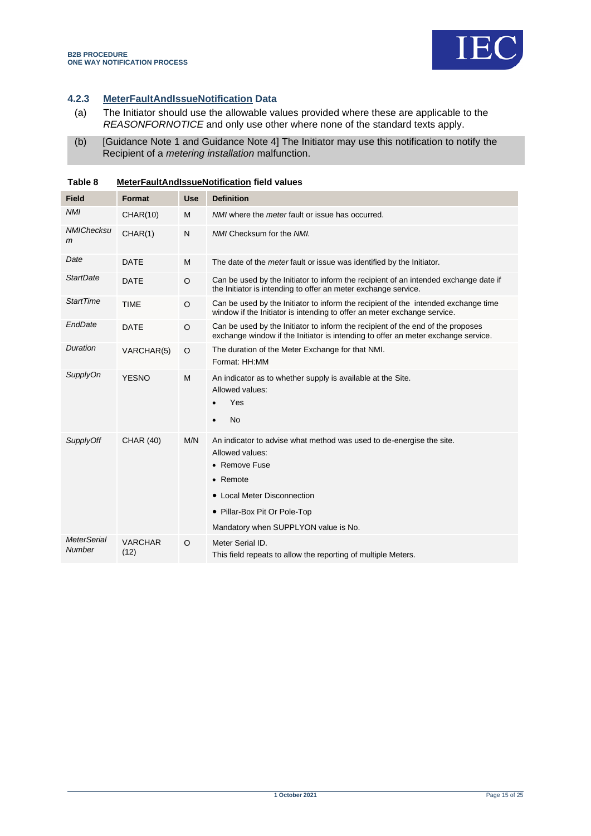![](_page_14_Picture_1.jpeg)

## **4.2.3 MeterFaultAndIssueNotification Data**

- (a) The Initiator should use the allowable values provided where these are applicable to the *REASONFORNOTICE* and only use other where none of the standard texts apply.
- (b) [Guidance Note 1 and Guidance Note 4] The Initiator may use this notification to notify the Recipient of a *metering installation* malfunction.

| <b>Field</b>                 | <b>Format</b>          | <b>Use</b> | <b>Definition</b>                                                                                                                                                                                                           |
|------------------------------|------------------------|------------|-----------------------------------------------------------------------------------------------------------------------------------------------------------------------------------------------------------------------------|
| <b>NMI</b>                   | <b>CHAR(10)</b>        | M          | NMI where the <i>meter</i> fault or issue has occurred.                                                                                                                                                                     |
| <b>NMIChecksu</b><br>m       | CHAR(1)                | N          | NMI Checksum for the NMI.                                                                                                                                                                                                   |
| Date                         | <b>DATE</b>            | M          | The date of the <i>meter</i> fault or issue was identified by the Initiator.                                                                                                                                                |
| StartDate                    | <b>DATE</b>            | $\circ$    | Can be used by the Initiator to inform the recipient of an intended exchange date if<br>the Initiator is intending to offer an meter exchange service.                                                                      |
| <b>StartTime</b>             | <b>TIME</b>            | $\circ$    | Can be used by the Initiator to inform the recipient of the intended exchange time<br>window if the Initiator is intending to offer an meter exchange service.                                                              |
| EndDate                      | <b>DATE</b>            | $\Omega$   | Can be used by the Initiator to inform the recipient of the end of the proposes<br>exchange window if the Initiator is intending to offer an meter exchange service.                                                        |
| Duration                     | VARCHAR(5)             | $\circ$    | The duration of the Meter Exchange for that NMI.<br>Format: HH:MM                                                                                                                                                           |
| <b>SupplyOn</b>              | <b>YESNO</b>           | M          | An indicator as to whether supply is available at the Site.<br>Allowed values:<br>Yes<br><b>No</b><br>$\bullet$                                                                                                             |
| SupplyOff                    | <b>CHAR (40)</b>       | M/N        | An indicator to advise what method was used to de-energise the site.<br>Allowed values:<br>• Remove Fuse<br>• Remote<br>• Local Meter Disconnection<br>• Pillar-Box Pit Or Pole-Top<br>Mandatory when SUPPLYON value is No. |
| <b>MeterSerial</b><br>Number | <b>VARCHAR</b><br>(12) | $\circ$    | Meter Serial ID.<br>This field repeats to allow the reporting of multiple Meters.                                                                                                                                           |

<span id="page-14-0"></span>**Table 8 MeterFaultAndIssueNotification field values**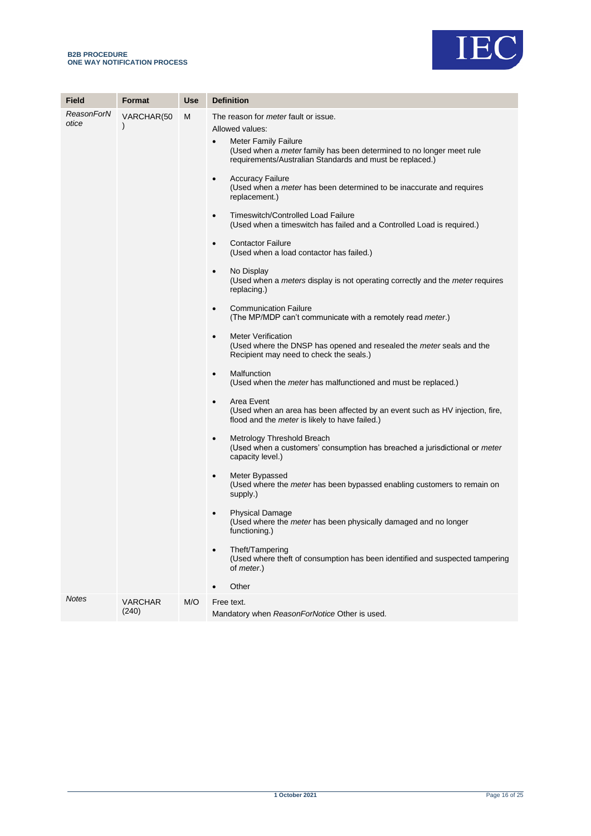![](_page_15_Picture_1.jpeg)

| Field               | Format                      | <b>Use</b> | <b>Definition</b>                                                                                                                                                                                                                                                                                                                                                                                                                                                                                                                                                                                                                                                                                                                                                                                                                                                                                                                                                                                                                                                                                                                                                                                                                                                                                                                                                                                                                                                                                                                                                                                                                                                                                                                                                                                                                              |
|---------------------|-----------------------------|------------|------------------------------------------------------------------------------------------------------------------------------------------------------------------------------------------------------------------------------------------------------------------------------------------------------------------------------------------------------------------------------------------------------------------------------------------------------------------------------------------------------------------------------------------------------------------------------------------------------------------------------------------------------------------------------------------------------------------------------------------------------------------------------------------------------------------------------------------------------------------------------------------------------------------------------------------------------------------------------------------------------------------------------------------------------------------------------------------------------------------------------------------------------------------------------------------------------------------------------------------------------------------------------------------------------------------------------------------------------------------------------------------------------------------------------------------------------------------------------------------------------------------------------------------------------------------------------------------------------------------------------------------------------------------------------------------------------------------------------------------------------------------------------------------------------------------------------------------------|
| ReasonForN<br>otice | VARCHAR(50<br>$\mathcal{E}$ | м          | The reason for <i>meter</i> fault or issue.<br>Allowed values:<br><b>Meter Family Failure</b><br>$\bullet$<br>(Used when a <i>meter</i> family has been determined to no longer meet rule<br>requirements/Australian Standards and must be replaced.)<br><b>Accuracy Failure</b><br>$\bullet$<br>(Used when a <i>meter</i> has been determined to be inaccurate and requires<br>replacement.)<br>Timeswitch/Controlled Load Failure<br>$\bullet$<br>(Used when a timeswitch has failed and a Controlled Load is required.)<br><b>Contactor Failure</b><br>$\bullet$<br>(Used when a load contactor has failed.)<br>No Display<br>$\bullet$<br>(Used when a <i>meters</i> display is not operating correctly and the <i>meter</i> requires<br>replacing.)<br><b>Communication Failure</b><br>$\bullet$<br>(The MP/MDP can't communicate with a remotely read meter.)<br><b>Meter Verification</b><br>$\bullet$<br>(Used where the DNSP has opened and resealed the <i>meter</i> seals and the<br>Recipient may need to check the seals.)<br>Malfunction<br>$\bullet$<br>(Used when the <i>meter</i> has malfunctioned and must be replaced.)<br>Area Event<br>$\bullet$<br>(Used when an area has been affected by an event such as HV injection, fire,<br>flood and the meter is likely to have failed.)<br>Metrology Threshold Breach<br>$\bullet$<br>(Used when a customers' consumption has breached a jurisdictional or meter<br>capacity level.)<br>Meter Bypassed<br>$\bullet$<br>(Used where the <i>meter</i> has been bypassed enabling customers to remain on<br>supply.)<br><b>Physical Damage</b><br>٠<br>(Used where the <i>meter</i> has been physically damaged and no longer<br>functioning.)<br>Theft/Tampering<br>(Used where theft of consumption has been identified and suspected tampering<br>of <i>meter.</i> )<br>Other |
| <b>Notes</b>        | <b>VARCHAR</b><br>(240)     | M/O        | Free text.<br>Mandatory when ReasonForNotice Other is used.                                                                                                                                                                                                                                                                                                                                                                                                                                                                                                                                                                                                                                                                                                                                                                                                                                                                                                                                                                                                                                                                                                                                                                                                                                                                                                                                                                                                                                                                                                                                                                                                                                                                                                                                                                                    |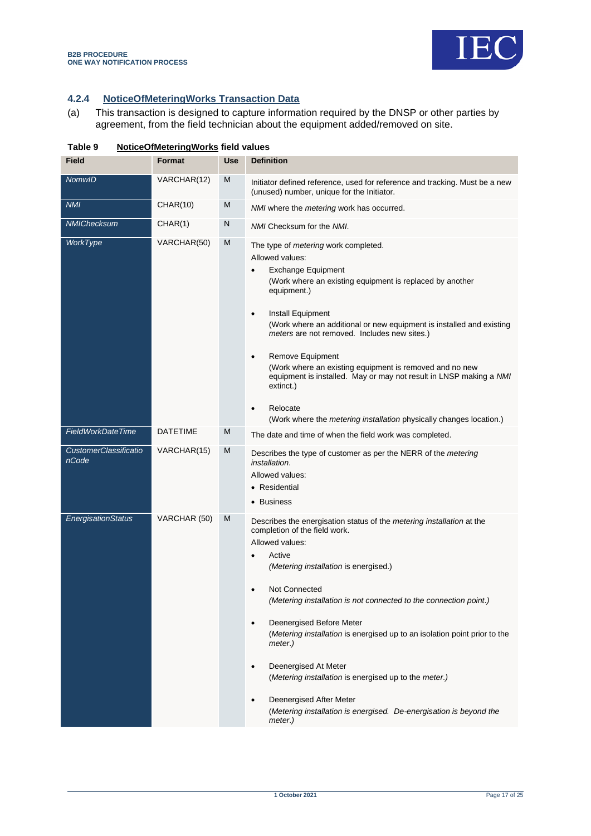![](_page_16_Picture_0.jpeg)

## **4.2.4 NoticeOfMeteringWorks Transaction Data**

(a) This transaction is designed to capture information required by the DNSP or other parties by agreement, from the field technician about the equipment added/removed on site.

| Field                                 | Format          | <b>Use</b> | <b>Definition</b>                                                                                                                                                                                                                                                                                                                                                                                                                                                                                                                                                                                                                              |
|---------------------------------------|-----------------|------------|------------------------------------------------------------------------------------------------------------------------------------------------------------------------------------------------------------------------------------------------------------------------------------------------------------------------------------------------------------------------------------------------------------------------------------------------------------------------------------------------------------------------------------------------------------------------------------------------------------------------------------------------|
| <b>NomwID</b>                         | VARCHAR(12)     | M          | Initiator defined reference, used for reference and tracking. Must be a new<br>(unused) number, unique for the Initiator.                                                                                                                                                                                                                                                                                                                                                                                                                                                                                                                      |
| <b>NMI</b>                            | <b>CHAR(10)</b> | M          | NMI where the metering work has occurred.                                                                                                                                                                                                                                                                                                                                                                                                                                                                                                                                                                                                      |
| NMIChecksum                           | CHAR(1)         | N          | NMI Checksum for the NMI.                                                                                                                                                                                                                                                                                                                                                                                                                                                                                                                                                                                                                      |
| WorkType                              | VARCHAR(50)     | M          | The type of <i>metering</i> work completed.<br>Allowed values:<br><b>Exchange Equipment</b><br>$\bullet$<br>(Work where an existing equipment is replaced by another<br>equipment.)<br>Install Equipment<br>$\bullet$<br>(Work where an additional or new equipment is installed and existing<br>meters are not removed. Includes new sites.)<br>Remove Equipment<br>$\bullet$<br>(Work where an existing equipment is removed and no new<br>equipment is installed. May or may not result in LNSP making a NMI<br>extinct.)<br>Relocate<br>$\bullet$<br>(Work where the <i>metering installation</i> physically changes location.)            |
| FieldWorkDateTime                     | <b>DATETIME</b> | M          | The date and time of when the field work was completed.                                                                                                                                                                                                                                                                                                                                                                                                                                                                                                                                                                                        |
| <b>CustomerClassificatio</b><br>nCode | VARCHAR(15)     | M          | Describes the type of customer as per the NERR of the <i>metering</i><br>installation.<br>Allowed values:<br>• Residential<br>• Business                                                                                                                                                                                                                                                                                                                                                                                                                                                                                                       |
| <b>EnergisationStatus</b>             | VARCHAR (50)    | M          | Describes the energisation status of the metering installation at the<br>completion of the field work.<br>Allowed values:<br>Active<br><i>(Metering installation is energised.)</i><br>Not Connected<br>$\bullet$<br>(Metering installation is not connected to the connection point.)<br>Deenergised Before Meter<br>$\bullet$<br>(Metering installation is energised up to an isolation point prior to the<br>meter.)<br>Deenergised At Meter<br>$\bullet$<br>(Metering installation is energised up to the meter.)<br>Deenergised After Meter<br>$\bullet$<br>(Metering installation is energised. De-energisation is beyond the<br>meter.) |

#### <span id="page-16-0"></span>**Table 9 NoticeOfMeteringWorks field values**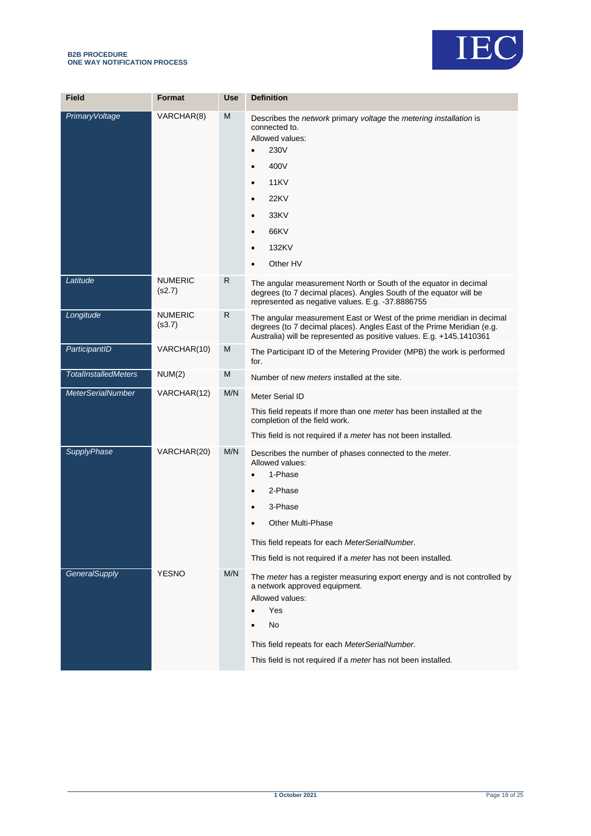![](_page_17_Picture_1.jpeg)

| <b>Field</b>                | Format                   | <b>Use</b> | <b>Definition</b>                                                                                                                                                                                                                                                                                       |
|-----------------------------|--------------------------|------------|---------------------------------------------------------------------------------------------------------------------------------------------------------------------------------------------------------------------------------------------------------------------------------------------------------|
| <b>PrimaryVoltage</b>       | VARCHAR(8)               | M          | Describes the network primary voltage the metering installation is<br>connected to.<br>Allowed values:<br>230V<br>$\bullet$<br>400V<br>$\bullet$<br>11KV<br><b>22KV</b><br>$\bullet$<br>33KV<br>$\bullet$<br>66KV<br>$\bullet$<br>132KV<br>$\bullet$<br>Other HV                                        |
| Latitude                    | <b>NUMERIC</b><br>(s2.7) | R          | The angular measurement North or South of the equator in decimal<br>degrees (to 7 decimal places). Angles South of the equator will be<br>represented as negative values. E.g. -37.8886755                                                                                                              |
| Longitude                   | <b>NUMERIC</b><br>(s3.7) | R          | The angular measurement East or West of the prime meridian in decimal<br>degrees (to 7 decimal places). Angles East of the Prime Meridian (e.g.<br>Australia) will be represented as positive values. E.g. +145.1410361                                                                                 |
| ParticipantID               | VARCHAR(10)              | M          | The Participant ID of the Metering Provider (MPB) the work is performed<br>for.                                                                                                                                                                                                                         |
| <b>TotalInstalledMeters</b> | NUM(2)                   | M          | Number of new <i>meters</i> installed at the site.                                                                                                                                                                                                                                                      |
| <b>MeterSerialNumber</b>    | VARCHAR(12)              | M/N        | Meter Serial ID<br>This field repeats if more than one meter has been installed at the<br>completion of the field work.<br>This field is not required if a <i>meter</i> has not been installed.                                                                                                         |
| <b>SupplyPhase</b>          | VARCHAR(20)              | M/N        | Describes the number of phases connected to the meter.<br>Allowed values:<br>1-Phase<br>$\bullet$<br>2-Phase<br>$\bullet$<br>3-Phase<br>$\bullet$<br><b>Other Multi-Phase</b><br>This field repeats for each MeterSerialNumber.<br>This field is not required if a <i>meter</i> has not been installed. |
| GeneralSupply               | <b>YESNO</b>             | M/N        | The meter has a register measuring export energy and is not controlled by<br>a network approved equipment.<br>Allowed values:<br>Yes<br>$\bullet$<br>No<br>This field repeats for each MeterSerialNumber.<br>This field is not required if a <i>meter</i> has not been installed.                       |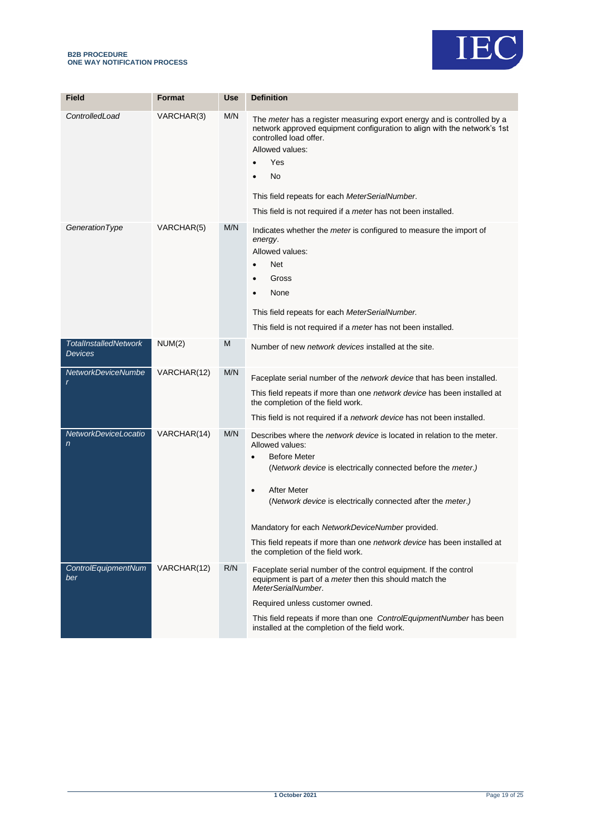![](_page_18_Picture_0.jpeg)

![](_page_18_Picture_1.jpeg)

| <b>Field</b>                                   | <b>Format</b> | <b>Use</b> | <b>Definition</b>                                                                                                                                                                                                                                                                                                                                                                                                                                                                   |
|------------------------------------------------|---------------|------------|-------------------------------------------------------------------------------------------------------------------------------------------------------------------------------------------------------------------------------------------------------------------------------------------------------------------------------------------------------------------------------------------------------------------------------------------------------------------------------------|
|                                                |               |            |                                                                                                                                                                                                                                                                                                                                                                                                                                                                                     |
| ControlledLoad                                 | VARCHAR(3)    | M/N        | The <i>meter</i> has a register measuring export energy and is controlled by a<br>network approved equipment configuration to align with the network's 1st<br>controlled load offer.<br>Allowed values:<br>Yes<br>No<br>This field repeats for each MeterSerialNumber.<br>This field is not required if a <i>meter</i> has not been installed.                                                                                                                                      |
| GenerationType                                 | VARCHAR(5)    | M/N        | Indicates whether the <i>meter</i> is configured to measure the import of<br>energy.<br>Allowed values:<br><b>Net</b><br>Gross<br>None<br>This field repeats for each MeterSerialNumber.<br>This field is not required if a <i>meter</i> has not been installed.                                                                                                                                                                                                                    |
| <b>TotalInstalledNetwork</b><br><b>Devices</b> | NUM(2)        | M          | Number of new <i>network devices</i> installed at the site.                                                                                                                                                                                                                                                                                                                                                                                                                         |
| <b>NetworkDeviceNumbe</b><br>r                 | VARCHAR(12)   | M/N        | Faceplate serial number of the <i>network device</i> that has been installed.<br>This field repeats if more than one <i>network device</i> has been installed at<br>the completion of the field work.<br>This field is not required if a network device has not been installed.                                                                                                                                                                                                     |
| NetworkDeviceLocatio<br>$\mathsf{n}$           | VARCHAR(14)   | M/N        | Describes where the <i>network device</i> is located in relation to the meter.<br>Allowed values:<br><b>Before Meter</b><br>$\bullet$<br>(Network device is electrically connected before the meter.)<br><b>After Meter</b><br>$\bullet$<br>(Network device is electrically connected after the meter.)<br>Mandatory for each NetworkDeviceNumber provided.<br>This field repeats if more than one <i>network device</i> has been installed at<br>the completion of the field work. |
| ControlEquipmentNum<br>ber                     | VARCHAR(12)   | R/N        | Faceplate serial number of the control equipment. If the control<br>equipment is part of a meter then this should match the<br>MeterSerialNumber.<br>Required unless customer owned.<br>This field repeats if more than one ControlEquipmentNumber has been<br>installed at the completion of the field work.                                                                                                                                                                       |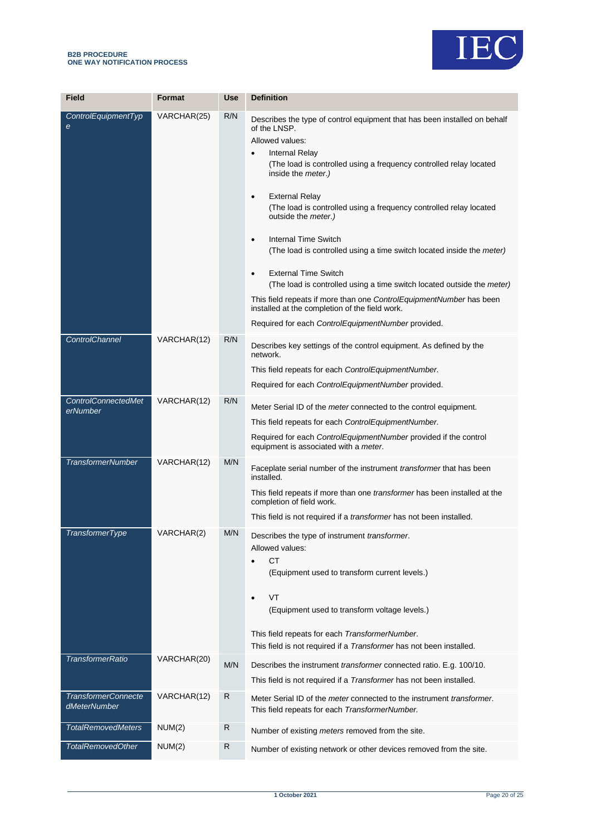![](_page_19_Picture_0.jpeg)

![](_page_19_Picture_1.jpeg)

| <b>Field</b>                               | <b>Format</b> | <b>Use</b>   | <b>Definition</b>                                                                                                                                                                                                                                                                                                                                                                                                                                                                                                                                                                                                                                                                                                                                                                                                                           |
|--------------------------------------------|---------------|--------------|---------------------------------------------------------------------------------------------------------------------------------------------------------------------------------------------------------------------------------------------------------------------------------------------------------------------------------------------------------------------------------------------------------------------------------------------------------------------------------------------------------------------------------------------------------------------------------------------------------------------------------------------------------------------------------------------------------------------------------------------------------------------------------------------------------------------------------------------|
| ControlEquipmentTyp<br>$\epsilon$          | VARCHAR(25)   | R/N          | Describes the type of control equipment that has been installed on behalf<br>of the LNSP.<br>Allowed values:<br><b>Internal Relay</b><br>$\bullet$<br>(The load is controlled using a frequency controlled relay located<br>inside the <i>meter</i> .)<br><b>External Relay</b><br>$\bullet$<br>(The load is controlled using a frequency controlled relay located<br>outside the <i>meter</i> .)<br><b>Internal Time Switch</b><br>$\bullet$<br>(The load is controlled using a time switch located inside the <i>meter</i> )<br><b>External Time Switch</b><br>$\bullet$<br>(The load is controlled using a time switch located outside the <i>meter</i> )<br>This field repeats if more than one ControlEquipmentNumber has been<br>installed at the completion of the field work.<br>Required for each ControlEquipmentNumber provided. |
| <b>ControlChannel</b>                      | VARCHAR(12)   | R/N          | Describes key settings of the control equipment. As defined by the<br>network.<br>This field repeats for each ControlEquipmentNumber.<br>Required for each ControlEquipmentNumber provided.                                                                                                                                                                                                                                                                                                                                                                                                                                                                                                                                                                                                                                                 |
| <b>ControlConnectedMet</b><br>erNumber     | VARCHAR(12)   | R/N          | Meter Serial ID of the meter connected to the control equipment.<br>This field repeats for each ControlEquipmentNumber.<br>Required for each ControlEquipmentNumber provided if the control<br>equipment is associated with a meter.                                                                                                                                                                                                                                                                                                                                                                                                                                                                                                                                                                                                        |
| <b>TransformerNumber</b>                   | VARCHAR(12)   | M/N          | Faceplate serial number of the instrument <i>transformer</i> that has been<br>installed.<br>This field repeats if more than one <i>transformer</i> has been installed at the<br>completion of field work.<br>This field is not required if a <i>transformer</i> has not been installed.                                                                                                                                                                                                                                                                                                                                                                                                                                                                                                                                                     |
| <b>TransformerType</b>                     | VARCHAR(2)    | M/N          | Describes the type of instrument transformer.<br>Allowed values:<br><b>CT</b><br>$\bullet$<br>(Equipment used to transform current levels.)<br>VT<br>$\bullet$<br>(Equipment used to transform voltage levels.)<br>This field repeats for each TransformerNumber.<br>This field is not required if a Transformer has not been installed.                                                                                                                                                                                                                                                                                                                                                                                                                                                                                                    |
| <b>TransformerRatio</b>                    | VARCHAR(20)   | M/N          | Describes the instrument <i>transformer</i> connected ratio. E.g. 100/10.<br>This field is not required if a <i>Transformer</i> has not been installed.                                                                                                                                                                                                                                                                                                                                                                                                                                                                                                                                                                                                                                                                                     |
| <b>TransformerConnecte</b><br>dMeterNumber | VARCHAR(12)   | $\mathsf{R}$ | Meter Serial ID of the <i>meter</i> connected to the instrument <i>transformer</i> .<br>This field repeats for each TransformerNumber.                                                                                                                                                                                                                                                                                                                                                                                                                                                                                                                                                                                                                                                                                                      |
| <b>TotalRemovedMeters</b>                  | NUM(2)        | R            | Number of existing meters removed from the site.                                                                                                                                                                                                                                                                                                                                                                                                                                                                                                                                                                                                                                                                                                                                                                                            |
| <b>TotalRemovedOther</b>                   | NUM(2)        | R            | Number of existing network or other devices removed from the site.                                                                                                                                                                                                                                                                                                                                                                                                                                                                                                                                                                                                                                                                                                                                                                          |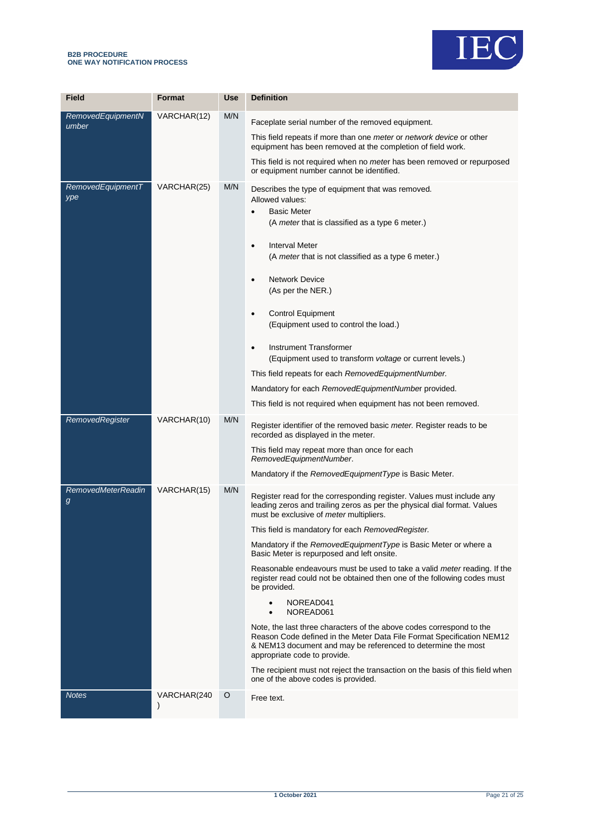#### **B2B PROCEDURE ONE WAY NOTIFICATION PROCESS**

![](_page_20_Picture_1.jpeg)

| <b>Field</b>                   | Format                   | <b>Use</b> | <b>Definition</b>                                                                                                                                                                                                                                                                                                                                                                                                                                                                                                                                                                                                                                                                                                                                                                                                                                                                                                                                    |
|--------------------------------|--------------------------|------------|------------------------------------------------------------------------------------------------------------------------------------------------------------------------------------------------------------------------------------------------------------------------------------------------------------------------------------------------------------------------------------------------------------------------------------------------------------------------------------------------------------------------------------------------------------------------------------------------------------------------------------------------------------------------------------------------------------------------------------------------------------------------------------------------------------------------------------------------------------------------------------------------------------------------------------------------------|
| RemovedEquipmentN<br>umber     | VARCHAR(12)              | M/N        | Faceplate serial number of the removed equipment.<br>This field repeats if more than one <i>meter</i> or <i>network device</i> or other<br>equipment has been removed at the completion of field work.<br>This field is not required when no meter has been removed or repurposed<br>or equipment number cannot be identified.                                                                                                                                                                                                                                                                                                                                                                                                                                                                                                                                                                                                                       |
| RemovedEquipmentT<br>ype       | VARCHAR(25)              | M/N        | Describes the type of equipment that was removed.<br>Allowed values:<br><b>Basic Meter</b><br>$\bullet$<br>(A meter that is classified as a type 6 meter.)<br><b>Interval Meter</b><br>$\bullet$<br>(A meter that is not classified as a type 6 meter.)<br><b>Network Device</b><br>$\bullet$<br>(As per the NER.)<br><b>Control Equipment</b><br>$\bullet$<br>(Equipment used to control the load.)<br>Instrument Transformer<br>$\bullet$<br>(Equipment used to transform <i>voltage</i> or current levels.)<br>This field repeats for each Removed Equipment Number.<br>Mandatory for each RemovedEquipmentNumber provided.<br>This field is not required when equipment has not been removed.                                                                                                                                                                                                                                                    |
| RemovedRegister                | VARCHAR(10)              | M/N        | Register identifier of the removed basic meter. Register reads to be<br>recorded as displayed in the meter.<br>This field may repeat more than once for each<br>RemovedEquipmentNumber.<br>Mandatory if the RemovedEquipmentType is Basic Meter.                                                                                                                                                                                                                                                                                                                                                                                                                                                                                                                                                                                                                                                                                                     |
| <b>RemovedMeterReadin</b><br>g | VARCHAR(15)              | M/N        | Register read for the corresponding register. Values must include any<br>leading zeros and trailing zeros as per the physical dial format. Values<br>must be exclusive of meter multipliers.<br>This field is mandatory for each RemovedRegister.<br>Mandatory if the RemovedEquipmentType is Basic Meter or where a<br>Basic Meter is repurposed and left onsite.<br>Reasonable endeavours must be used to take a valid <i>meter</i> reading. If the<br>register read could not be obtained then one of the following codes must<br>be provided.<br>NOREAD041<br>NOREAD061<br>Note, the last three characters of the above codes correspond to the<br>Reason Code defined in the Meter Data File Format Specification NEM12<br>& NEM13 document and may be referenced to determine the most<br>appropriate code to provide.<br>The recipient must not reject the transaction on the basis of this field when<br>one of the above codes is provided. |
| <b>Notes</b>                   | VARCHAR(240<br>$\lambda$ | O          | Free text.                                                                                                                                                                                                                                                                                                                                                                                                                                                                                                                                                                                                                                                                                                                                                                                                                                                                                                                                           |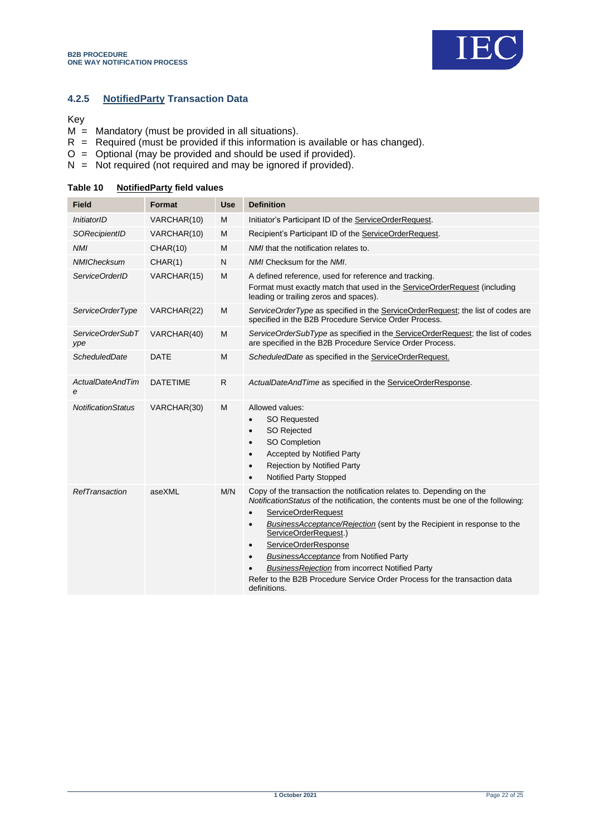![](_page_21_Picture_1.jpeg)

## **4.2.5 NotifiedParty Transaction Data**

#### Key

- $M =$  Mandatory (must be provided in all situations).
- $R$  = Required (must be provided if this information is available or has changed).
- O = Optional (may be provided and should be used if provided).
- N = Not required (not required and may be ignored if provided).

| <b>Field</b>                 | Format          | <b>Use</b> | <b>Definition</b>                                                                                                                                                                                                                                                                                                                                                                                                                                                                                                                                                                |
|------------------------------|-----------------|------------|----------------------------------------------------------------------------------------------------------------------------------------------------------------------------------------------------------------------------------------------------------------------------------------------------------------------------------------------------------------------------------------------------------------------------------------------------------------------------------------------------------------------------------------------------------------------------------|
| InitiatorID                  | VARCHAR(10)     | М          | Initiator's Participant ID of the ServiceOrderRequest.                                                                                                                                                                                                                                                                                                                                                                                                                                                                                                                           |
| SORecipientID                | VARCHAR(10)     | M          | Recipient's Participant ID of the ServiceOrderRequest.                                                                                                                                                                                                                                                                                                                                                                                                                                                                                                                           |
| <b>NMI</b>                   | <b>CHAR(10)</b> | М          | <i>NMI</i> that the notification relates to.                                                                                                                                                                                                                                                                                                                                                                                                                                                                                                                                     |
| <b>NMIChecksum</b>           | CHAR(1)         | N          | NMI Checksum for the NMI.                                                                                                                                                                                                                                                                                                                                                                                                                                                                                                                                                        |
| ServiceOrderID               | VARCHAR(15)     | М          | A defined reference, used for reference and tracking.<br>Format must exactly match that used in the ServiceOrderRequest (including<br>leading or trailing zeros and spaces).                                                                                                                                                                                                                                                                                                                                                                                                     |
| ServiceOrderType             | VARCHAR(22)     | M          | ServiceOrderType as specified in the ServiceOrderRequest; the list of codes are<br>specified in the B2B Procedure Service Order Process.                                                                                                                                                                                                                                                                                                                                                                                                                                         |
| ServiceOrderSubT<br>ype      | VARCHAR(40)     | M          | ServiceOrderSubType as specified in the ServiceOrderRequest; the list of codes<br>are specified in the B2B Procedure Service Order Process.                                                                                                                                                                                                                                                                                                                                                                                                                                      |
| ScheduledDate                | <b>DATE</b>     | M          | ScheduledDate as specified in the ServiceOrderRequest.                                                                                                                                                                                                                                                                                                                                                                                                                                                                                                                           |
| <b>ActualDateAndTim</b><br>e | <b>DATETIME</b> | R          | ActualDateAndTime as specified in the ServiceOrderResponse.                                                                                                                                                                                                                                                                                                                                                                                                                                                                                                                      |
| <b>NotificationStatus</b>    | VARCHAR(30)     | М          | Allowed values:<br><b>SO Requested</b><br>$\bullet$<br>SO Rejected<br>$\bullet$<br>SO Completion<br>$\bullet$<br><b>Accepted by Notified Party</b><br>$\bullet$<br><b>Rejection by Notified Party</b><br>$\bullet$<br><b>Notified Party Stopped</b><br>$\bullet$                                                                                                                                                                                                                                                                                                                 |
| RefTransaction               | aseXML          | M/N        | Copy of the transaction the notification relates to. Depending on the<br>NotificationStatus of the notification, the contents must be one of the following:<br><b>ServiceOrderRequest</b><br>$\bullet$<br>BusinessAcceptance/Rejection (sent by the Recipient in response to the<br>$\bullet$<br>ServiceOrderRequest.)<br>ServiceOrderResponse<br>$\bullet$<br><b>BusinessAcceptance from Notified Party</b><br>$\bullet$<br><b>BusinessRejection from incorrect Notified Party</b><br>Refer to the B2B Procedure Service Order Process for the transaction data<br>definitions. |

#### <span id="page-21-0"></span>**Table 10 NotifiedParty field values**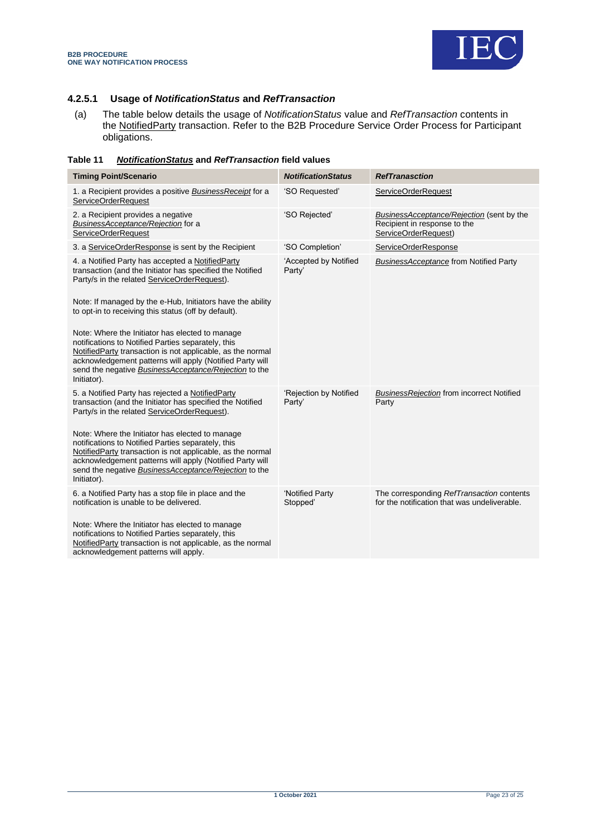![](_page_22_Picture_0.jpeg)

#### **4.2.5.1 Usage of** *NotificationStatus* **and** *RefTransaction*

(a) The table below details the usage of *NotificationStatus* value and *RefTransaction* contents in the NotifiedParty transaction. Refer to the B2B Procedure Service Order Process for Participant obligations.

<span id="page-22-0"></span>

| Table 11 |  | <b>NotificationStatus and RefTransaction field values</b> |
|----------|--|-----------------------------------------------------------|
|----------|--|-----------------------------------------------------------|

| <b>Timing Point/Scenario</b>                                                                                                                                                                                                                                                                                                                                                                     | <b>NotificationStatus</b>        | <b>RefTranasction</b>                                                                             |
|--------------------------------------------------------------------------------------------------------------------------------------------------------------------------------------------------------------------------------------------------------------------------------------------------------------------------------------------------------------------------------------------------|----------------------------------|---------------------------------------------------------------------------------------------------|
| 1. a Recipient provides a positive Business Receipt for a<br><b>ServiceOrderRequest</b>                                                                                                                                                                                                                                                                                                          | 'SO Requested'                   | <b>ServiceOrderRequest</b>                                                                        |
| 2. a Recipient provides a negative<br>BusinessAcceptance/Rejection for a<br><b>ServiceOrderRequest</b>                                                                                                                                                                                                                                                                                           | 'SO Rejected'                    | BusinessAcceptance/Rejection (sent by the<br>Recipient in response to the<br>ServiceOrderRequest) |
| 3. a ServiceOrderResponse is sent by the Recipient                                                                                                                                                                                                                                                                                                                                               | 'SO Completion'                  | ServiceOrderResponse                                                                              |
| 4. a Notified Party has accepted a NotifiedParty<br>transaction (and the Initiator has specified the Notified<br>Party/s in the related ServiceOrderRequest).<br>Note: If managed by the e-Hub, Initiators have the ability<br>to opt-in to receiving this status (off by default).<br>Note: Where the Initiator has elected to manage                                                           | 'Accepted by Notified<br>Party'  | <b>BusinessAcceptance from Notified Party</b>                                                     |
| notifications to Notified Parties separately, this<br>NotifiedParty transaction is not applicable, as the normal<br>acknowledgement patterns will apply (Notified Party will<br>send the negative <b>BusinessAcceptance/Rejection</b> to the<br>Initiator).                                                                                                                                      |                                  |                                                                                                   |
| 5. a Notified Party has rejected a NotifiedParty<br>transaction (and the Initiator has specified the Notified<br>Party/s in the related ServiceOrderRequest).<br>Note: Where the Initiator has elected to manage<br>notifications to Notified Parties separately, this<br>NotifiedParty transaction is not applicable, as the normal<br>acknowledgement patterns will apply (Notified Party will | 'Rejection by Notified<br>Party' | <b>BusinessRejection from incorrect Notified</b><br>Party                                         |
| send the negative BusinessAcceptance/Rejection to the<br>Initiator).                                                                                                                                                                                                                                                                                                                             |                                  |                                                                                                   |
| 6. a Notified Party has a stop file in place and the<br>notification is unable to be delivered.                                                                                                                                                                                                                                                                                                  | 'Notified Party<br>Stopped'      | The corresponding RefTransaction contents<br>for the notification that was undeliverable.         |
| Note: Where the Initiator has elected to manage<br>notifications to Notified Parties separately, this<br>NotifiedParty transaction is not applicable, as the normal<br>acknowledgement patterns will apply.                                                                                                                                                                                      |                                  |                                                                                                   |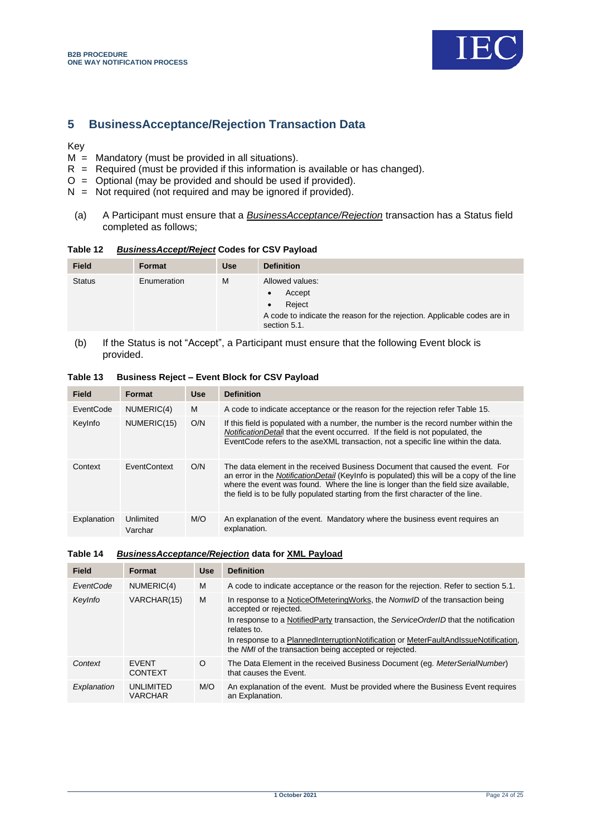![](_page_23_Picture_1.jpeg)

## <span id="page-23-0"></span>**5 BusinessAcceptance/Rejection Transaction Data**

Key

- $M =$  Mandatory (must be provided in all situations).
- $R$  = Required (must be provided if this information is available or has changed).
- $O =$  Optional (may be provided and should be used if provided).
- $N = Not required (not required and may be ignored if provided).$
- (a) A Participant must ensure that a *BusinessAcceptance/Rejection* transaction has a Status field completed as follows;

## <span id="page-23-1"></span>**Table 12** *BusinessAccept/Reject* **Codes for CSV Payload**

| <b>Field</b>  | Format      | <b>Use</b> | <b>Definition</b>                                                                                                               |
|---------------|-------------|------------|---------------------------------------------------------------------------------------------------------------------------------|
| <b>Status</b> | Enumeration | м          | Allowed values:<br>Accept<br>Reject<br>A code to indicate the reason for the rejection. Applicable codes are in<br>section 5.1. |

(b) If the Status is not "Accept", a Participant must ensure that the following Event block is provided.

| <b>Field</b> | <b>Format</b>        | <b>Use</b> | <b>Definition</b>                                                                                                                                                                                                                                                                                                                                            |
|--------------|----------------------|------------|--------------------------------------------------------------------------------------------------------------------------------------------------------------------------------------------------------------------------------------------------------------------------------------------------------------------------------------------------------------|
| EventCode    | NUMERIC(4)           | м          | A code to indicate acceptance or the reason for the rejection refer Table 15.                                                                                                                                                                                                                                                                                |
| KeyInfo      | NUMERIC(15)          | O/N        | If this field is populated with a number, the number is the record number within the<br><i>NotificationDetail</i> that the event occurred. If the field is not populated, the<br>EventCode refers to the aseXML transaction, not a specific line within the data.                                                                                            |
| Context      | <b>FventContext</b>  | O/N        | The data element in the received Business Document that caused the event. For<br>an error in the <i>NotificationDetail</i> (Keylnfo is populated) this will be a copy of the line<br>where the event was found. Where the line is longer than the field size available,<br>the field is to be fully populated starting from the first character of the line. |
| Explanation  | Unlimited<br>Varchar | M/O        | An explanation of the event. Mandatory where the business event requires an<br>explanation.                                                                                                                                                                                                                                                                  |

#### <span id="page-23-2"></span>**Table 13 Business Reject – Event Block for CSV Payload**

#### <span id="page-23-3"></span>**Table 14** *BusinessAcceptance/Rejection* **data for XML Payload**

| Field       | <b>Format</b>                  | <b>Use</b> | <b>Definition</b>                                                                                                                             |
|-------------|--------------------------------|------------|-----------------------------------------------------------------------------------------------------------------------------------------------|
| EventCode   | NUMERIC(4)                     | M          | A code to indicate acceptance or the reason for the rejection. Refer to section 5.1.                                                          |
| Keylnfo     | VARCHAR(15)                    | M          | In response to a NoticeOfMeteringWorks, the NomwID of the transaction being<br>accepted or rejected.                                          |
|             |                                |            | In response to a NotifiedParty transaction, the ServiceOrderID that the notification<br>relates to.                                           |
|             |                                |            | In response to a PlannedInterruptionNotification or MeterFaultAndIssueNotification,<br>the NMI of the transaction being accepted or rejected. |
| Context     | <b>FVFNT</b><br><b>CONTEXT</b> | $\Omega$   | The Data Element in the received Business Document (eq. MeterSerialNumber)<br>that causes the Event.                                          |
| Explanation | UNLIMITED<br><b>VARCHAR</b>    | M/O        | An explanation of the event. Must be provided where the Business Event requires<br>an Explanation.                                            |